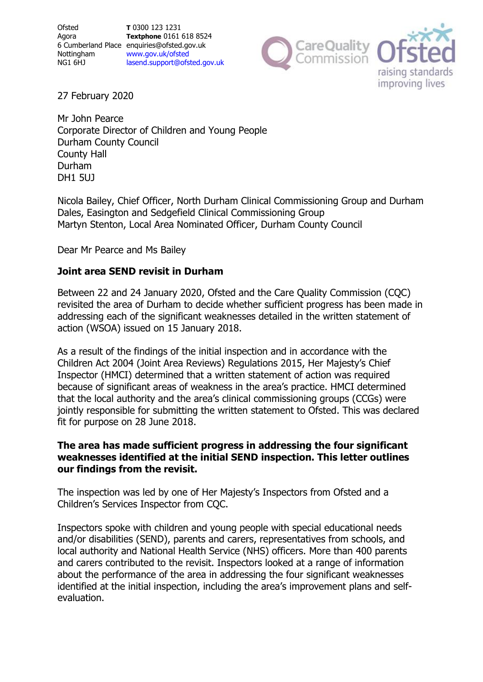**Ofsted** Agora 6 Cumberland Place [enquiries@ofsted.gov.uk](mailto:enquiries@ofsted.gov.uk) Nottingham NG1 6HJ **T** 0300 123 1231 **Textphone** 0161 618 8524 [www.gov.uk/ofsted](http://www.gov.uk/ofsted) [lasend.support@ofsted.gov.uk](mailto:lasend.support@ofsted.gov.uk)



27 February 2020

Mr John Pearce Corporate Director of Children and Young People Durham County Council County Hall Durham DH1 5UJ

Nicola Bailey, Chief Officer, North Durham Clinical Commissioning Group and Durham Dales, Easington and Sedgefield Clinical Commissioning Group Martyn Stenton, Local Area Nominated Officer, Durham County Council

Dear Mr Pearce and Ms Bailey

# Joint area SEND revisit in Durham

 $R_{\text{th}}$ Between 22 and 24 January 2020, Ofsted and the Care Quality Commission (CQC) revisited the area of Durham to decide whether sufficient progress has been made in addressing each of the significant weaknesses detailed in the written statement of action (WSOA) issued on 15 January 2018.

As a result of the findings of the initial inspection and in accordance with the Children Act 2004 (Joint Area Reviews) Regulations 2015, Her Majesty's Chief Inspector (HMCI) determined that a written statement of action was required because of significant areas of weakness in the area's practice. HMCI determined that the local authority and the area's clinical commissioning groups (CCGs) were jointly responsible for submitting the written statement to Ofsted. This was declared fit for purpose on 28 June 2018.

## **The area has made sufficient progress in addressing the four significant weaknesses identified at the initial SEND inspection. This letter outlines our findings from the revisit.**

The inspection was led by one of Her Majesty's Inspectors from Ofsted and a Children's Services Inspector from CQC.

Inspectors spoke with children and young people with special educational needs and/or disabilities (SEND), parents and carers, representatives from schools, and local authority and National Health Service (NHS) officers. More than 400 parents and carers contributed to the revisit. Inspectors looked at a range of information about the performance of the area in addressing the four significant weaknesses identified at the initial inspection, including the area's improvement plans and selfevaluation.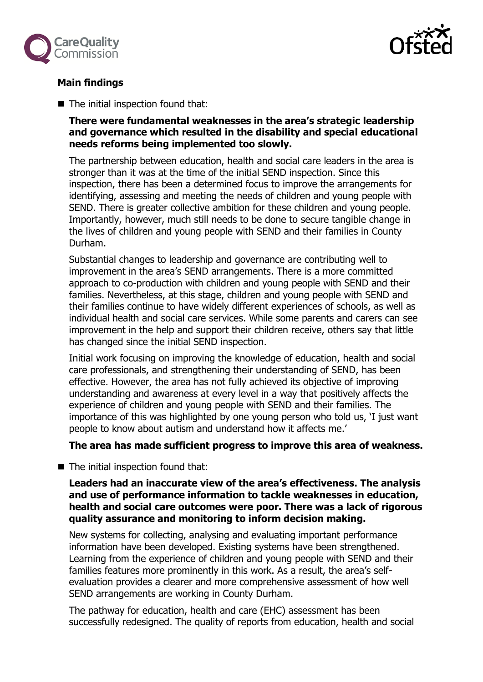



## **Main findings**

**The initial inspection found that:** 

### **There were fundamental weaknesses in the area's strategic leadership and governance which resulted in the disability and special educational needs reforms being implemented too slowly.**

The partnership between education, health and social care leaders in the area is stronger than it was at the time of the initial SEND inspection. Since this inspection, there has been a determined focus to improve the arrangements for identifying, assessing and meeting the needs of children and young people with SEND. There is greater collective ambition for these children and young people. Importantly, however, much still needs to be done to secure tangible change in the lives of children and young people with SEND and their families in County Durham.

Substantial changes to leadership and governance are contributing well to improvement in the area's SEND arrangements. There is a more committed approach to co-production with children and young people with SEND and their families. Nevertheless, at this stage, children and young people with SEND and their families continue to have widely different experiences of schools, as well as individual health and social care services. While some parents and carers can see improvement in the help and support their children receive, others say that little has changed since the initial SEND inspection.

Initial work focusing on improving the knowledge of education, health and social care professionals, and strengthening their understanding of SEND, has been effective. However, the area has not fully achieved its objective of improving understanding and awareness at every level in a way that positively affects the experience of children and young people with SEND and their families. The importance of this was highlighted by one young person who told us, 'I just want people to know about autism and understand how it affects me.'

**The area has made sufficient progress to improve this area of weakness.**

 $\blacksquare$  The initial inspection found that:

### **Leaders had an inaccurate view of the area's effectiveness. The analysis and use of performance information to tackle weaknesses in education, health and social care outcomes were poor. There was a lack of rigorous quality assurance and monitoring to inform decision making.**

New systems for collecting, analysing and evaluating important performance information have been developed. Existing systems have been strengthened. Learning from the experience of children and young people with SEND and their families features more prominently in this work. As a result, the area's selfevaluation provides a clearer and more comprehensive assessment of how well SEND arrangements are working in County Durham.

The pathway for education, health and care (EHC) assessment has been successfully redesigned. The quality of reports from education, health and social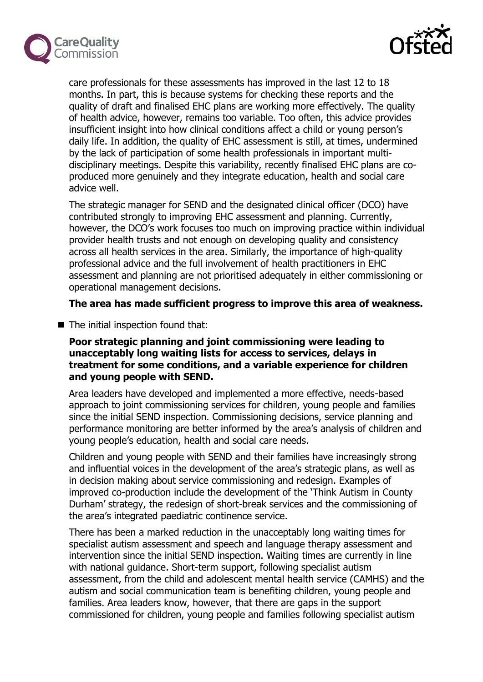



care professionals for these assessments has improved in the last 12 to 18 months. In part, this is because systems for checking these reports and the quality of draft and finalised EHC plans are working more effectively. The quality of health advice, however, remains too variable. Too often, this advice provides insufficient insight into how clinical conditions affect a child or young person's daily life. In addition, the quality of EHC assessment is still, at times, undermined by the lack of participation of some health professionals in important multidisciplinary meetings. Despite this variability, recently finalised EHC plans are coproduced more genuinely and they integrate education, health and social care advice well.

The strategic manager for SEND and the designated clinical officer (DCO) have contributed strongly to improving EHC assessment and planning. Currently, however, the DCO's work focuses too much on improving practice within individual provider health trusts and not enough on developing quality and consistency across all health services in the area. Similarly, the importance of high-quality professional advice and the full involvement of health practitioners in EHC assessment and planning are not prioritised adequately in either commissioning or operational management decisions.

### **The area has made sufficient progress to improve this area of weakness.**

**The initial inspection found that:** 

### **Poor strategic planning and joint commissioning were leading to unacceptably long waiting lists for access to services, delays in treatment for some conditions, and a variable experience for children and young people with SEND.**

Area leaders have developed and implemented a more effective, needs-based approach to joint commissioning services for children, young people and families since the initial SEND inspection. Commissioning decisions, service planning and performance monitoring are better informed by the area's analysis of children and young people's education, health and social care needs.

Children and young people with SEND and their families have increasingly strong and influential voices in the development of the area's strategic plans, as well as in decision making about service commissioning and redesign. Examples of improved co-production include the development of the 'Think Autism in County Durham' strategy, the redesign of short-break services and the commissioning of the area's integrated paediatric continence service.

There has been a marked reduction in the unacceptably long waiting times for specialist autism assessment and speech and language therapy assessment and intervention since the initial SEND inspection. Waiting times are currently in line with national guidance. Short-term support, following specialist autism assessment, from the child and adolescent mental health service (CAMHS) and the autism and social communication team is benefiting children, young people and families. Area leaders know, however, that there are gaps in the support commissioned for children, young people and families following specialist autism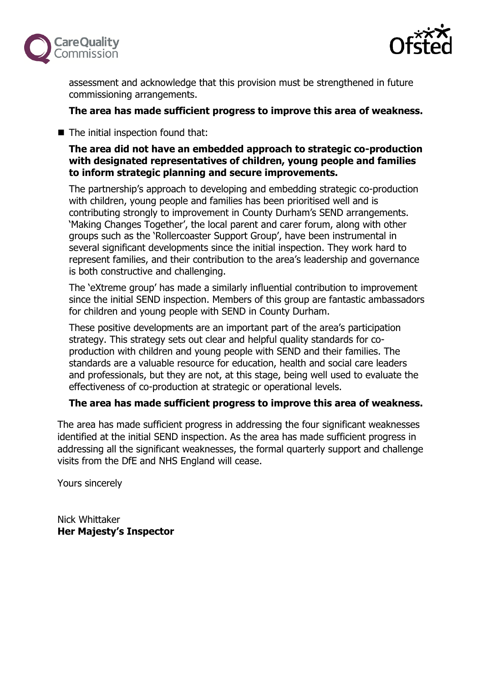



assessment and acknowledge that this provision must be strengthened in future commissioning arrangements.

## **The area has made sufficient progress to improve this area of weakness.**

**The initial inspection found that:** 

## **The area did not have an embedded approach to strategic co-production with designated representatives of children, young people and families to inform strategic planning and secure improvements.**

The partnership's approach to developing and embedding strategic co-production with children, young people and families has been prioritised well and is contributing strongly to improvement in County Durham's SEND arrangements. 'Making Changes Together', the local parent and carer forum, along with other groups such as the 'Rollercoaster Support Group', have been instrumental in several significant developments since the initial inspection. They work hard to represent families, and their contribution to the area's leadership and governance is both constructive and challenging.

The 'eXtreme group' has made a similarly influential contribution to improvement since the initial SEND inspection. Members of this group are fantastic ambassadors for children and young people with SEND in County Durham.

These positive developments are an important part of the area's participation strategy. This strategy sets out clear and helpful quality standards for coproduction with children and young people with SEND and their families. The standards are a valuable resource for education, health and social care leaders and professionals, but they are not, at this stage, being well used to evaluate the effectiveness of co-production at strategic or operational levels.

#### **The area has made sufficient progress to improve this area of weakness.**

The area has made sufficient progress in addressing the four significant weaknesses identified at the initial SEND inspection. As the area has made sufficient progress in addressing all the significant weaknesses, the formal quarterly support and challenge visits from the DfE and NHS England will cease.

Yours sincerely

Nick Whittaker **Her Majesty's Inspector**